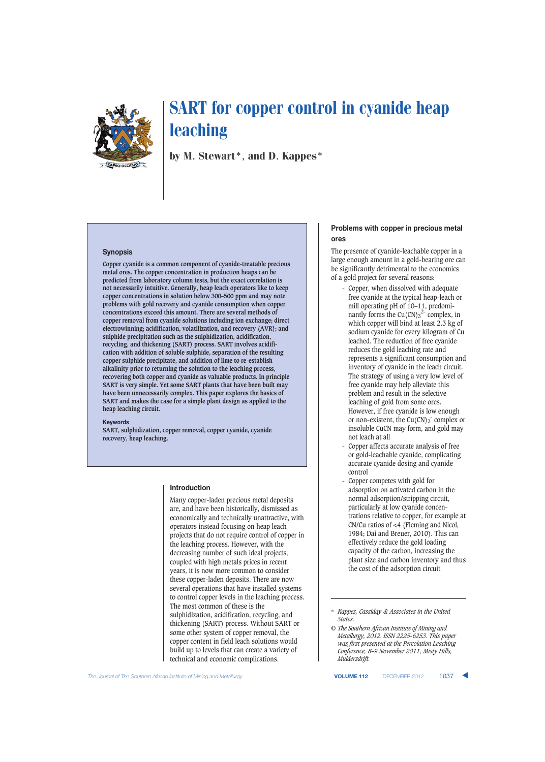

by M. Stewart\*, and D. Kappes\*

## **Synopsis**

**Copper cyanide is a common component of cyanide-treatable precious metal ores. The copper concentration in production heaps can be predicted from laboratory column tests, but the exact correlation is not necessarily intuitive. Generally, heap leach operators like to keep copper concentrations in solution below 300–500 ppm and may note problems with gold recovery and cyanide consumption when copper concentrations exceed this amount. There are several methods of copper removal from cyanide solutions including ion exchange; direct electrowinning; acidification, volatilization, and recovery (AVR); and sulphide precipitation such as the sulphidization, acidification, recycling, and thickening (SART) process. SART involves acidification with addition of soluble sulphide, separation of the resulting copper sulphide precipitate, and addition of lime to re-establish alkalinity prior to returning the solution to the leaching process, recovering both copper and cyanide as valuable products. In principle SART is very simple. Yet some SART plants that have been built may have been unnecessarily complex. This paper explores the basics of SART and makes the case for a simple plant design as applied to the heap leaching circuit.**

#### **Keywords**

**SART, sulphidization, copper removal, copper cyanide, cyanide recovery, heap leaching.**

#### **Introduction**

Many copper-laden precious metal deposits are, and have been historically, dismissed as economically and technically unattractive, with operators instead focusing on heap leach projects that do not require control of copper in the leaching process. However, with the decreasing number of such ideal projects, coupled with high metals prices in recent years, it is now more common to consider these copper-laden deposits. There are now several operations that have installed systems to control copper levels in the leaching process. The most common of these is the sulphidization, acidification, recycling, and thickening (SART) process. Without SART or some other system of copper removal, the copper content in field leach solutions would build up to levels that can create a variety of technical and economic complications.

# **Problems with copper in precious metal ores**

The presence of cyanide-leachable copper in a large enough amount in a gold-bearing ore can be significantly detrimental to the economics of a gold project for several reasons:

- Copper, when dissolved with adequate free cyanide at the typical heap-leach or mill operating pH of 10–11, predominantly forms the  $Cu(CN)_3^2$ <sup>-</sup> complex, in which copper will bind at least 2.3 kg of sodium cyanide for every kilogram of Cu leached. The reduction of free cyanide reduces the gold leaching rate and represents a significant consumption and inventory of cyanide in the leach circuit. The strategy of using a very low level of free cyanide may help alleviate this problem and result in the selective leaching of gold from some ores. However, if free cyanide is low enough or non-existent, the  $Cu(CN)_2^-$  complex or insoluble CuCN may form, and gold may not leach at all
- Copper affects accurate analysis of free or gold-leachable cyanide, complicating accurate cyanide dosing and cyanide control
- Copper competes with gold for adsorption on activated carbon in the normal adsorption/stripping circuit, particularly at low cyanide concentrations relative to copper, for example at CN/Cu ratios of <4 (Fleming and Nicol, 1984; Dai and Breuer, 2010). This can effectively reduce the gold loading capacity of the carbon, increasing the plant size and carbon inventory and thus the cost of the adsorption circuit

<sup>\*</sup> *Kappes, Cassiday & Associates in the United States.*

*<sup>©</sup> The Southern African Institute of Mining and Metallurgy, 2012. ISSN 2225-6253. This paper was first presented at the Percolation Leaching Conference, 8–9 November 2011, Misty Hills, Muldersdrift.*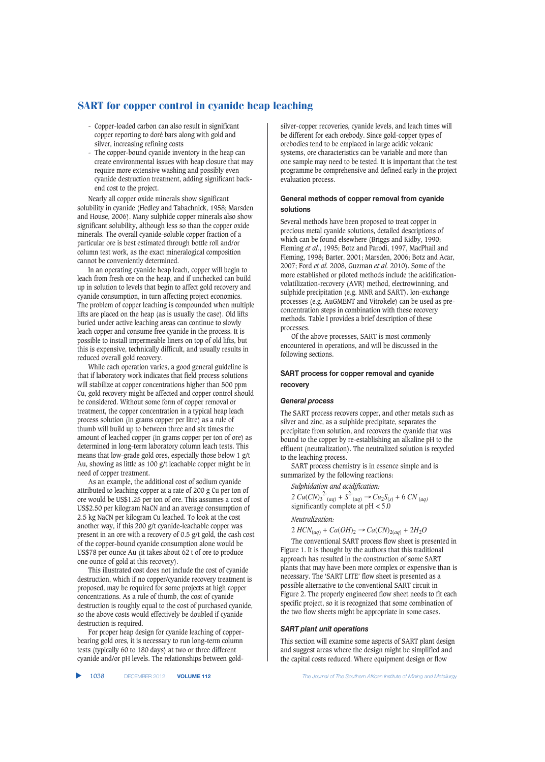- Copper-loaded carbon can also result in significant copper reporting to dorè bars along with gold and silver, increasing refining costs
- The copper-bound cyanide inventory in the heap can create environmental issues with heap closure that may require more extensive washing and possibly even cyanide destruction treatment, adding significant backend cost to the project.

Nearly all copper oxide minerals show significant solubility in cyanide (Hedley and Tabachnick, 1958; Marsden and House, 2006). Many sulphide copper minerals also show significant solubility, although less so than the copper oxide minerals. The overall cyanide-soluble copper fraction of a particular ore is best estimated through bottle roll and/or column test work, as the exact mineralogical composition cannot be conveniently determined.

In an operating cyanide heap leach, copper will begin to leach from fresh ore on the heap, and if unchecked can build up in solution to levels that begin to affect gold recovery and cyanide consumption, in turn affecting project economics. The problem of copper leaching is compounded when multiple lifts are placed on the heap (as is usually the case). Old lifts buried under active leaching areas can continue to slowly leach copper and consume free cyanide in the process. It is possible to install impermeable liners on top of old lifts, but this is expensive, technically difficult, and usually results in reduced overall gold recovery.

While each operation varies, a good general guideline is that if laboratory work indicates that field process solutions will stabilize at copper concentrations higher than 500 ppm Cu, gold recovery might be affected and copper control should be considered. Without some form of copper removal or treatment, the copper concentration in a typical heap leach process solution (in grams copper per litre) as a rule of thumb will build up to between three and six times the amount of leached copper (in grams copper per ton of ore) as determined in long-term laboratory column leach tests. This means that low-grade gold ores, especially those below 1 g/t Au, showing as little as 100 g/t leachable copper might be in need of copper treatment.

As an example, the additional cost of sodium cyanide attributed to leaching copper at a rate of 200 g Cu per ton of ore would be US\$1.25 per ton of ore. This assumes a cost of US\$2.50 per kilogram NaCN and an average consumption of 2.5 kg NaCN per kilogram Cu leached. To look at the cost another way, if this 200 g/t cyanide-leachable copper was present in an ore with a recovery of 0.5 g/t gold, the cash cost of the copper-bound cyanide consumption alone would be US\$78 per ounce Au (it takes about 62 t of ore to produce one ounce of gold at this recovery).

This illustrated cost does not include the cost of cyanide destruction, which if no copper/cyanide recovery treatment is proposed, may be required for some projects at high copper concentrations. As a rule of thumb, the cost of cyanide destruction is roughly equal to the cost of purchased cyanide, so the above costs would effectively be doubled if cyanide destruction is required.

For proper heap design for cyanide leaching of copperbearing gold ores, it is necessary to run long-term column tests (typically 60 to 180 days) at two or three different cyanide and/or pH levels. The relationships between goldsilver-copper recoveries, cyanide levels, and leach times will be different for each orebody. Since gold-copper types of orebodies tend to be emplaced in large acidic volcanic systems, ore characteristics can be variable and more than one sample may need to be tested. It is important that the test programme be comprehensive and defined early in the project evaluation process.

# **General methods of copper removal from cyanide solutions**

Several methods have been proposed to treat copper in precious metal cyanide solutions, detailed descriptions of which can be found elsewhere (Briggs and Kidby, 1990; Fleming *et al.*, 1995; Botz and Parodi, 1997, MacPhail and Fleming, 1998; Barter, 2001; Marsden, 2006; Botz and Acar, 2007; Ford *et al.* 2008, Guzman *et al.* 2010). Some of the more established or piloted methods include the acidificationvolatilization-recovery (AVR) method, electrowinning, and sulphide precipitation (e.g. MNR and SART). Ion-exchange processes (e.g. AuGMENT and Vitrokele) can be used as preconcentration steps in combination with these recovery methods. Table I provides a brief description of these processes.

Of the above processes, SART is most commonly encountered in operations, and will be discussed in the following sections.

# **SART process for copper removal and cyanide recovery**

#### *General process*

The SART process recovers copper, and other metals such as silver and zinc, as a sulphide precipitate, separates the precipitate from solution, and recovers the cyanide that was bound to the copper by re-establishing an alkaline pH to the effluent (neutralization). The neutralized solution is recycled to the leaching process.

SART process chemistry is in essence simple and is summarized by the following reactions:

*Sulphidation and acidification:*

2  $Cu(CN)_3^{2-}(aq) + S^2(aq) \rightarrow Cu_2S_{(s)} + 6 CN_{(aq)}$ significantly complete at pH < 5.0

## *Neutralization:*

2 *HCN*(*aq*) *+ Ca*(*OH*)2 <sup>→</sup>*Ca*(*CN*)2(*aq*) *+* 2*H*2*O*

The conventional SART process flow sheet is presented in Figure 1. It is thought by the authors that this traditional approach has resulted in the construction of some SART plants that may have been more complex or expensive than is necessary. The 'SART LITE' flow sheet is presented as a possible alternative to the conventional SART circuit in Figure 2. The properly engineered flow sheet needs to fit each specific project, so it is recognized that some combination of the two flow sheets might be appropriate in some cases.

## *SART plant unit operations*

This section will examine some aspects of SART plant design and suggest areas where the design might be simplified and the capital costs reduced. Where equipment design or flow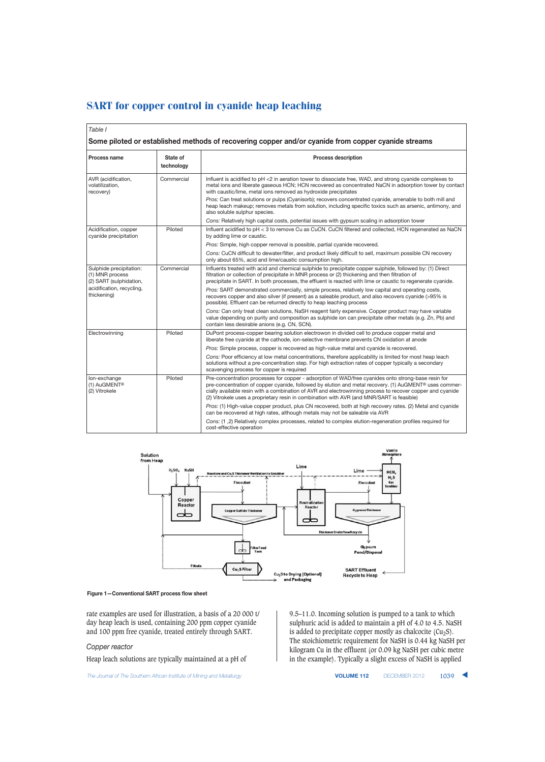| Table I                                                                                                           |                        |                                                                                                                                                                                                                                                                                                                                                                                                                                                                                                                                                  |  |  |  |  |  |
|-------------------------------------------------------------------------------------------------------------------|------------------------|--------------------------------------------------------------------------------------------------------------------------------------------------------------------------------------------------------------------------------------------------------------------------------------------------------------------------------------------------------------------------------------------------------------------------------------------------------------------------------------------------------------------------------------------------|--|--|--|--|--|
| Some piloted or established methods of recovering copper and/or cyanide from copper cyanide streams               |                        |                                                                                                                                                                                                                                                                                                                                                                                                                                                                                                                                                  |  |  |  |  |  |
| <b>Process name</b>                                                                                               | State of<br>technology | <b>Process description</b>                                                                                                                                                                                                                                                                                                                                                                                                                                                                                                                       |  |  |  |  |  |
| AVR (acidification,<br>volatilization,<br>recovery)                                                               | Commercial             | Influent is acidified to pH <2 in aeration tower to dissociate free, WAD, and strong cyanide complexes to<br>metal ions and liberate gaseous HCN; HCN recovered as concentrated NaCN in adsorption tower by contact<br>with caustic/lime, metal ions removed as hydroxide precipitates<br>Pros: Can treat solutions or pulps (Cyanisorb); recovers concentrated cyanide, amenable to both mill and<br>heap leach makeup; removes metals from solution, including specific toxics such as arsenic, antimony, and<br>also soluble sulphur species. |  |  |  |  |  |
|                                                                                                                   |                        | Cons: Relatively high capital costs, potential issues with gypsum scaling in adsorption tower                                                                                                                                                                                                                                                                                                                                                                                                                                                    |  |  |  |  |  |
| Acidification, copper<br>cyanide precipitation                                                                    | Piloted                | Influent acidified to pH < 3 to remove Cu as CuCN. CuCN filtered and collected, HCN regenerated as NaCN<br>by adding lime or caustic.                                                                                                                                                                                                                                                                                                                                                                                                            |  |  |  |  |  |
|                                                                                                                   |                        | Pros: Simple, high copper removal is possible, partial cyanide recovered.                                                                                                                                                                                                                                                                                                                                                                                                                                                                        |  |  |  |  |  |
|                                                                                                                   |                        | Cons: CuCN difficult to dewater/filter, and product likely difficult to sell, maximum possible CN recovery<br>only about 65%, acid and lime/caustic consumption high.                                                                                                                                                                                                                                                                                                                                                                            |  |  |  |  |  |
| Sulphide precipitation:<br>(1) MNR process<br>(2) SART (sulphidation,<br>acidification, recycling,<br>thickening) | Commercial             | Influents treated with acid and chemical sulphide to precipitate copper sulphide, followed by: (1) Direct<br>filtration or collection of precipitate in MNR process or (2) thickening and then filtration of<br>precipitate in SART. In both processes, the effluent is reacted with lime or caustic to regenerate cyanide.                                                                                                                                                                                                                      |  |  |  |  |  |
|                                                                                                                   |                        | Pros: SART demonstrated commercially, simple process, relatively low capital and operating costs,<br>recovers copper and also silver (if present) as a saleable product, and also recovers cyanide (>95% is<br>possible). Effluent can be returned directly to heap leaching process                                                                                                                                                                                                                                                             |  |  |  |  |  |
|                                                                                                                   |                        | Cons: Can only treat clean solutions, NaSH reagent fairly expensive. Copper product may have variable<br>value depending on purity and composition as sulphide ion can precipitate other metals (e.g. Zn, Pb) and<br>contain less desirable anions (e.g. CN, SCN).                                                                                                                                                                                                                                                                               |  |  |  |  |  |
| Electrowinning                                                                                                    | Piloted                | DuPont process-copper bearing solution electrowon in divided cell to produce copper metal and<br>liberate free cyanide at the cathode, ion-selective membrane prevents CN oxidation at anode                                                                                                                                                                                                                                                                                                                                                     |  |  |  |  |  |
|                                                                                                                   |                        | Pros: Simple process, copper is recovered as high-value metal and cyanide is recovered.                                                                                                                                                                                                                                                                                                                                                                                                                                                          |  |  |  |  |  |
|                                                                                                                   |                        | Cons: Poor efficiency at low metal concentrations, therefore applicability is limited for most heap leach<br>solutions without a pre-concentration step. For high extraction rates of copper typically a secondary<br>scavenging process for copper is required                                                                                                                                                                                                                                                                                  |  |  |  |  |  |
| lon-exchange<br>(1) AuGMENT®<br>(2) Vitrokele                                                                     | Piloted                | Pre-concentration processes for copper - adsorption of WAD/free cyanides onto strong-base resin for<br>pre-concentration of copper cyanide, followed by elution and metal recovery. (1) AuGMENT® uses commer-<br>cially available resin with a combination of AVR and electrowinning process to recover copper and cyanide<br>(2) Vitrokele uses a proprietary resin in combination with AVR (and MNR/SART is feasible)                                                                                                                          |  |  |  |  |  |
|                                                                                                                   |                        | Pros: (1) High-value copper product, plus CN recovered, both at high recovery rates. (2) Metal and cyanide<br>can be recovered at high rates, although metals may not be saleable via AVR                                                                                                                                                                                                                                                                                                                                                        |  |  |  |  |  |
|                                                                                                                   |                        | Cons: (1, 2) Relatively complex processes, related to complex elution-regeneration profiles required for<br>cost-effective operation                                                                                                                                                                                                                                                                                                                                                                                                             |  |  |  |  |  |



#### **Figure 1—Conventional SART process flow sheet**

rate examples are used for illustration, a basis of a 20 000 t/ day heap leach is used, containing 200 ppm copper cyanide and 100 ppm free cyanide, treated entirely through SART.

# *Copper reactor*

Heap leach solutions are typically maintained at a pH of

The Journal of The Southern African Institute of Mining and Metallurgy **VOLUME 112** DECEMBER 2012 1039 **4** 

9.5–11.0. Incoming solution is pumped to a tank to which sulphuric acid is added to maintain a pH of 4.0 to 4.5. NaSH is added to precipitate copper mostly as chalcocite ( $Cu<sub>2</sub>S$ ). The stoichiometric requirement for NaSH is 0.44 kg NaSH per kilogram Cu in the effluent (or 0.09 kg NaSH per cubic metre in the example). Typically a slight excess of NaSH is applied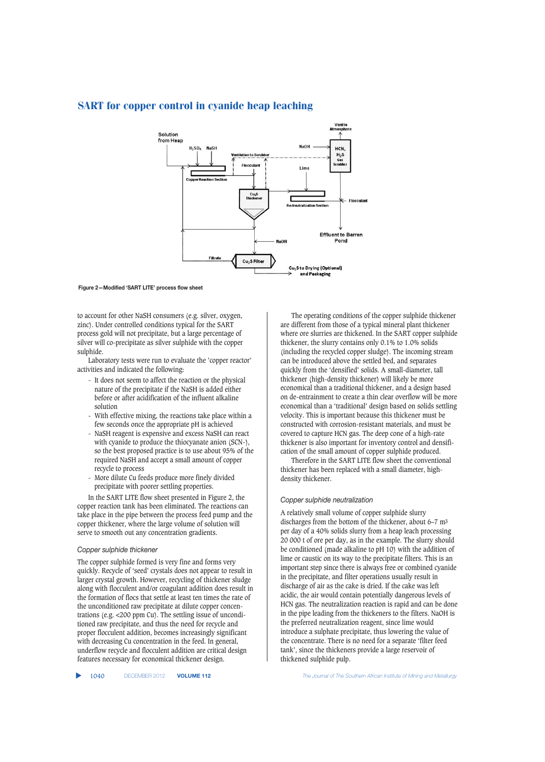

**Figure 2—Modified 'SART LITE' process flow sheet**

to account for other NaSH consumers (e.g. silver, oxygen, zinc). Under controlled conditions typical for the SART process gold will not precipitate, but a large percentage of silver will co-precipitate as silver sulphide with the copper sulphide.

Laboratory tests were run to evaluate the 'copper reactor' activities and indicated the following:

- It does not seem to affect the reaction or the physical nature of the precipitate if the NaSH is added either before or after acidification of the influent alkaline solution
- With effective mixing, the reactions take place within a few seconds once the appropriate pH is achieved
- NaSH reagent is expensive and excess NaSH can react with cyanide to produce the thiocyanate anion (SCN-), so the best proposed practice is to use about 95% of the required NaSH and accept a small amount of copper recycle to process
- More dilute Cu feeds produce more finely divided precipitate with poorer settling properties.

In the SART LITE flow sheet presented in Figure 2, the copper reaction tank has been eliminated. The reactions can take place in the pipe between the process feed pump and the copper thickener, where the large volume of solution will serve to smooth out any concentration gradients.

# *Copper sulphide thickener*

The copper sulphide formed is very fine and forms very quickly. Recycle of 'seed' crystals does not appear to result in larger crystal growth. However, recycling of thickener sludge along with flocculent and/or coagulant addition does result in the formation of flocs that settle at least ten times the rate of the unconditioned raw precipitate at dilute copper concentrations (e.g. <200 ppm Cu). The settling issue of unconditioned raw precipitate, and thus the need for recycle and proper flocculent addition, becomes increasingly significant with decreasing Cu concentration in the feed. In general, underflow recycle and flocculent addition are critical design features necessary for economical thickener design.

The operating conditions of the copper sulphide thickener are different from those of a typical mineral plant thickener where ore slurries are thickened. In the SART copper sulphide thickener, the slurry contains only 0.1% to 1.0% solids (including the recycled copper sludge). The incoming stream can be introduced above the settled bed, and separates quickly from the 'densified' solids. A small-diameter, tall thickener (high-density thickener) will likely be more economical than a traditional thickener, and a design based on de-entrainment to create a thin clear overflow will be more economical than a 'traditional' design based on solids settling velocity. This is important because this thickener must be constructed with corrosion-resistant materials, and must be covered to capture HCN gas. The deep cone of a high-rate thickener is also important for inventory control and densification of the small amount of copper sulphide produced.

Therefore in the SART LITE flow sheet the conventional thickener has been replaced with a small diameter, highdensity thickener.

## *Copper sulphide neutralization*

A relatively small volume of copper sulphide slurry discharges from the bottom of the thickener, about 6–7 m3 per day of a 40% solids slurry from a heap leach processing 20 000 t of ore per day, as in the example. The slurry should be conditioned (made alkaline to pH 10) with the addition of lime or caustic on its way to the precipitate filters. This is an important step since there is always free or combined cyanide in the precipitate, and filter operations usually result in discharge of air as the cake is dried. If the cake was left acidic, the air would contain potentially dangerous levels of HCN gas. The neutralization reaction is rapid and can be done in the pipe leading from the thickeners to the filters. NaOH is the preferred neutralization reagent, since lime would introduce a sulphate precipitate, thus lowering the value of the concentrate. There is no need for a separate 'filter feed tank', since the thickeners provide a large reservoir of thickened sulphide pulp.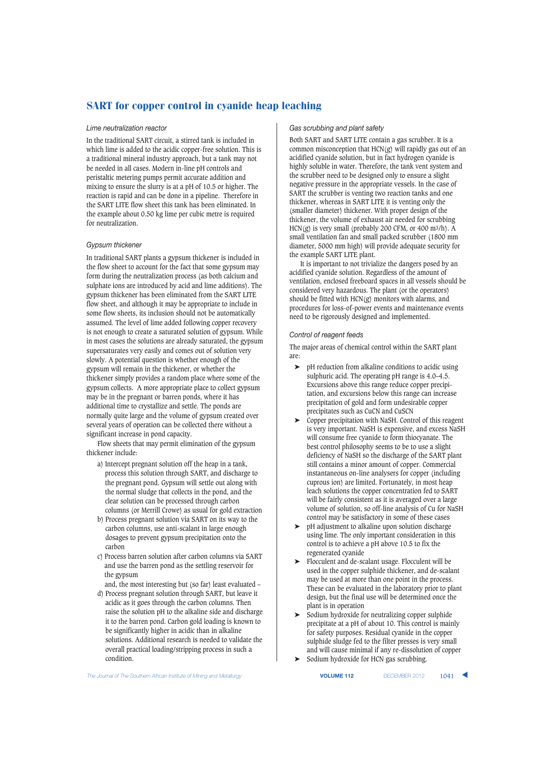# *Lime neutralization reactor*

In the traditional SART circuit, a stirred tank is included in which lime is added to the acidic copper-free solution. This is a traditional mineral industry approach, but a tank may not be needed in all cases. Modern in-line pH controls and peristaltic metering pumps permit accurate addition and mixing to ensure the slurry is at a pH of 10.5 or higher. The reaction is rapid and can be done in a pipeline. Therefore in the SART LITE flow sheet this tank has been eliminated. In the example about 0.50 kg lime per cubic metre is required for neutralization.

# *Gypsum thickener*

In traditional SART plants a gypsum thickener is included in the flow sheet to account for the fact that some gypsum may form during the neutralization process (as both calcium and sulphate ions are introduced by acid and lime additions). The gypsum thickener has been eliminated from the SART LITE flow sheet, and although it may be appropriate to include in some flow sheets, its inclusion should not be automatically assumed. The level of lime added following copper recovery is not enough to create a saturated solution of gypsum. While in most cases the solutions are already saturated, the gypsum supersaturates very easily and comes out of solution very slowly. A potential question is whether enough of the gypsum will remain in the thickener, or whether the thickener simply provides a random place where some of the gypsum collects. A more appropriate place to collect gypsum may be in the pregnant or barren ponds, where it has additional time to crystallize and settle. The ponds are normally quite large and the volume of gypsum created over several years of operation can be collected there without a significant increase in pond capacity.

Flow sheets that may permit elimination of the gypsum thickener include:

- a) Intercept pregnant solution off the heap in a tank, process this solution through SART, and discharge to the pregnant pond. Gypsum will settle out along with the normal sludge that collects in the pond, and the clear solution can be processed through carbon columns (or Merrill Crowe) as usual for gold extraction
- b) Process pregnant solution via SART on its way to the carbon columns, use anti-scalant in large enough dosages to prevent gypsum precipitation onto the carbon
- c) Process barren solution after carbon columns via SART and use the barren pond as the settling reservoir for the gypsum

and, the most interesting but (so far) least evaluated – d) Process pregnant solution through SART, but leave it

acidic as it goes through the carbon columns. Then raise the solution pH to the alkaline side and discharge it to the barren pond. Carbon gold loading is known to be significantly higher in acidic than in alkaline solutions. Additional research is needed to validate the overall practical loading/stripping process in such a condition.

# *Gas scrubbing and plant safety*

Both SART and SART LITE contain a gas scrubber. It is a common misconception that HCN(g) will rapidly gas out of an acidified cyanide solution, but in fact hydrogen cyanide is highly soluble in water. Therefore, the tank vent system and the scrubber need to be designed only to ensure a slight negative pressure in the appropriate vessels. In the case of SART the scrubber is venting two reaction tanks and one thickener, whereas in SART LITE it is venting only the (smaller diameter) thickener. With proper design of the thickener, the volume of exhaust air needed for scrubbing  $HCN(g)$  is very small (probably 200 CFM, or 400 m<sup>3</sup>/h). A small ventilation fan and small packed scrubber (1800 mm diameter, 5000 mm high) will provide adequate security for the example SART LITE plant.

It is important to not trivialize the dangers posed by an acidified cyanide solution. Regardless of the amount of ventilation, enclosed freeboard spaces in all vessels should be considered very hazardous. The plant (or the operators) should be fitted with HCN(g) monitors with alarms, and procedures for loss-of-power events and maintenance events need to be rigorously designed and implemented.

## *Control of reagent feeds*

The major areas of chemical control within the SART plant are:

- ➤ pH reduction from alkaline conditions to acidic using sulphuric acid. The operating pH range is 4.0–4.5. Excursions above this range reduce copper precipitation, and excursions below this range can increase precipitation of gold and form undesirable copper precipitates such as CuCN and CuSCN
- ➤ Copper precipitation with NaSH. Control of this reagent is very important. NaSH is expensive, and excess NaSH will consume free cyanide to form thiocyanate. The best control philosophy seems to be to use a slight deficiency of NaSH so the discharge of the SART plant still contains a minor amount of copper. Commercial instantaneous on-line analysers for copper (including cuprous ion) are limited. Fortunately, in most heap leach solutions the copper concentration fed to SART will be fairly consistent as it is averaged over a large volume of solution, so off-line analysis of Cu for NaSH control may be satisfactory in some of these cases
- ➤ pH adjustment to alkaline upon solution discharge using lime. The only important consideration in this control is to achieve a pH above 10.5 to fix the regenerated cyanide
- ➤ Flocculent and de-scalant usage. Flocculent will be used in the copper sulphide thickener, and de-scalant may be used at more than one point in the process. These can be evaluated in the laboratory prior to plant design, but the final use will be determined once the plant is in operation
- Sodium hydroxide for neutralizing copper sulphide precipitate at a pH of about 10. This control is mainly for safety purposes. Residual cyanide in the copper sulphide sludge fed to the filter presses is very small and will cause minimal if any re-dissolution of copper
- ➤ Sodium hydroxide for HCN gas scrubbing.

**The Journal of The Southern African Institute of Mining and Metallurgy <b>VOLUME 112 VOLUME 112 DECEMBER 2012 1041**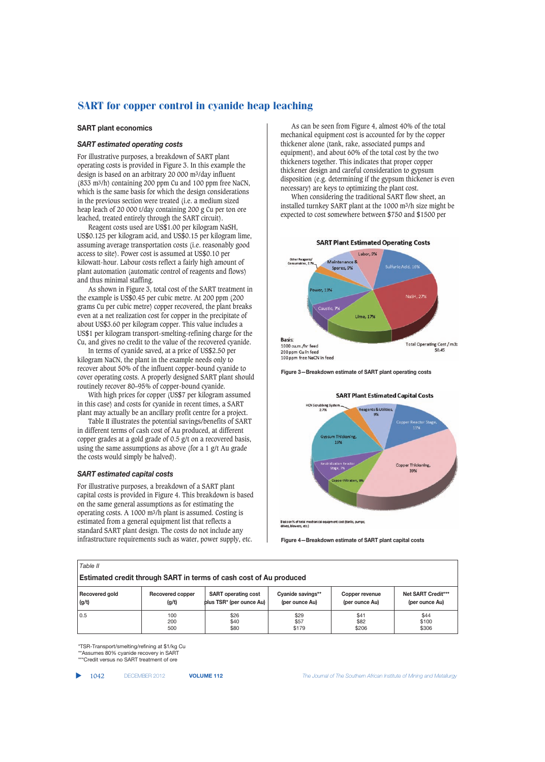#### **SART plant economics**

# *SART estimated operating costs*

For illustrative purposes, a breakdown of SART plant operating costs is provided in Figure 3. In this example the design is based on an arbitrary 20 000 m3/day influent (833 m3/h) containing 200 ppm Cu and 100 ppm free NaCN, which is the same basis for which the design considerations in the previous section were treated (i.e. a medium sized heap leach of 20 000 t/day containing 200 g Cu per ton ore leached, treated entirely through the SART circuit).

Reagent costs used are US\$1.00 per kilogram NaSH, US\$0.125 per kilogram acid, and US\$0.15 per kilogram lime, assuming average transportation costs (i.e. reasonably good access to site). Power cost is assumed at US\$0.10 per kilowatt-hour. Labour costs reflect a fairly high amount of plant automation (automatic control of reagents and flows) and thus minimal staffing.

As shown in Figure 3, total cost of the SART treatment in the example is US\$0.45 per cubic metre. At 200 ppm (200 grams Cu per cubic metre) copper recovered, the plant breaks even at a net realization cost for copper in the precipitate of about US\$3.60 per kilogram copper. This value includes a US\$1 per kilogram transport-smelting-refining charge for the Cu, and gives no credit to the value of the recovered cyanide.

In terms of cyanide saved, at a price of US\$2.50 per kilogram NaCN, the plant in the example needs only to recover about 50% of the influent copper-bound cyanide to cover operating costs. A properly designed SART plant should routinely recover 80–95% of copper-bound cyanide.

With high prices for copper (US\$7 per kilogram assumed in this case) and costs for cyanide in recent times, a SART plant may actually be an ancillary profit centre for a project.

Table II illustrates the potential savings/benefits of SART in different terms of cash cost of Au produced, at different copper grades at a gold grade of 0.5 g/t on a recovered basis, using the same assumptions as above (for a 1 g/t Au grade the costs would simply be halved).

## *SART estimated capital costs*

For illustrative purposes, a breakdown of a SART plant capital costs is provided in Figure 4. This breakdown is based on the same general assumptions as for estimating the operating costs. A 1000 m3/h plant is assumed. Costing is estimated from a general equipment list that reflects a standard SART plant design. The costs do not include any infrastructure requirements such as water, power supply, etc.

As can be seen from Figure 4, almost 40% of the total mechanical equipment cost is accounted for by the copper thickener alone (tank, rake, associated pumps and equipment), and about 60% of the total cost by the two thickeners together. This indicates that proper copper thickener design and careful consideration to gypsum disposition (e.g. determining if the gypsum thickener is even necessary) are keys to optimizing the plant cost.

When considering the traditional SART flow sheet, an installed turnkey SART plant at the 1000 m3/h size might be expected to cost somewhere between \$750 and \$1500 per



**Figure 3—Breakdown estimate of SART plant operating costs**



**Figure 4—Breakdown estimate of SART plant capital costs**

| Table II                                                                  |                  |                                      |                   |                |                    |  |  |  |
|---------------------------------------------------------------------------|------------------|--------------------------------------|-------------------|----------------|--------------------|--|--|--|
| <b>Estimated credit through SART in terms of cash cost of Au produced</b> |                  |                                      |                   |                |                    |  |  |  |
| Recovered gold                                                            | Recovered copper | <b>SART</b> operating cost           | Cyanide savings** | Copper revenue | Net SART Credit*** |  |  |  |
| (g/t)                                                                     | (g/t)            | plus TSR <sup>*</sup> (per ounce Au) | (per ounce Au)    | (per ounce Au) | (per ounce Au)     |  |  |  |
| 0.5                                                                       | 100              | \$26                                 | \$29              | \$41           | \$44               |  |  |  |
|                                                                           | 200              | \$40                                 | \$57              | \$82           | \$100              |  |  |  |
|                                                                           | 500              | \$80                                 | \$179             | \$206          | \$306              |  |  |  |

\*TSR-Transport/smelting/refining at \$1/kg Cu \*\*Assumes 80% cyanide recovery in SART \*\*\*Credit versus no SART treatment of ore

▲